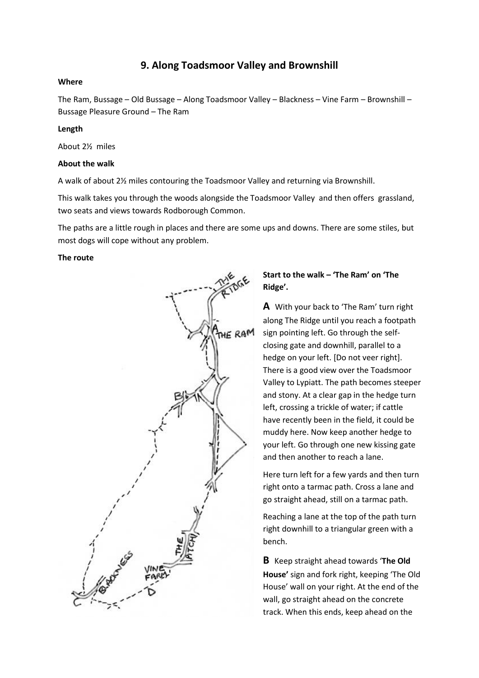# **9. Along Toadsmoor Valley and Brownshill**

### **Where**

The Ram, Bussage – Old Bussage – Along Toadsmoor Valley – Blackness – Vine Farm – Brownshill – Bussage Pleasure Ground – The Ram

#### **Length**

About 2½ miles

#### **About the walk**

A walk of about 2½ miles contouring the Toadsmoor Valley and returning via Brownshill.

This walk takes you through the woods alongside the Toadsmoor Valley and then offers grassland, two seats and views towards Rodborough Common.

The paths are a little rough in places and there are some ups and downs. There are some stiles, but most dogs will cope without any problem.

#### **The route**



## **Start to the walk – 'The Ram' on 'The Ridge'.**

**A** With your back to 'The Ram' turn right along The Ridge until you reach a footpath sign pointing left. Go through the selfclosing gate and downhill, parallel to a hedge on your left. [Do not veer right]. There is a good view over the Toadsmoor Valley to Lypiatt. The path becomes steeper and stony. At a clear gap in the hedge turn left, crossing a trickle of water; if cattle have recently been in the field, it could be muddy here. Now keep another hedge to your left. Go through one new kissing gate and then another to reach a lane.

Here turn left for a few yards and then turn right onto a tarmac path. Cross a lane and go straight ahead, still on a tarmac path.

Reaching a lane at the top of the path turn right downhill to a triangular green with a bench.

**B** Keep straight ahead towards '**The Old House'** sign and fork right, keeping 'The Old House' wall on your right. At the end of the wall, go straight ahead on the concrete track. When this ends, keep ahead on the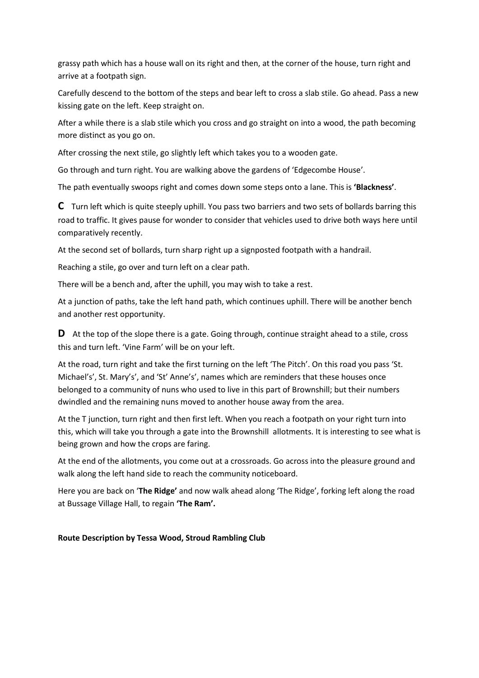grassy path which has a house wall on its right and then, at the corner of the house, turn right and arrive at a footpath sign.

Carefully descend to the bottom of the steps and bear left to cross a slab stile. Go ahead. Pass a new kissing gate on the left. Keep straight on.

After a while there is a slab stile which you cross and go straight on into a wood, the path becoming more distinct as you go on.

After crossing the next stile, go slightly left which takes you to a wooden gate.

Go through and turn right. You are walking above the gardens of 'Edgecombe House'.

The path eventually swoops right and comes down some steps onto a lane. This is **'Blackness'**.

**C** Turn left which is quite steeply uphill. You pass two barriers and two sets of bollards barring this road to traffic. It gives pause for wonder to consider that vehicles used to drive both ways here until comparatively recently.

At the second set of bollards, turn sharp right up a signposted footpath with a handrail.

Reaching a stile, go over and turn left on a clear path.

There will be a bench and, after the uphill, you may wish to take a rest.

At a junction of paths, take the left hand path, which continues uphill. There will be another bench and another rest opportunity.

**D** At the top of the slope there is a gate. Going through, continue straight ahead to a stile, cross this and turn left. 'Vine Farm' will be on your left.

At the road, turn right and take the first turning on the left 'The Pitch'. On this road you pass 'St. Michael's', St. Mary's', and 'St' Anne's', names which are reminders that these houses once belonged to a community of nuns who used to live in this part of Brownshill; but their numbers dwindled and the remaining nuns moved to another house away from the area.

At the T junction, turn right and then first left. When you reach a footpath on your right turn into this, which will take you through a gate into the Brownshill allotments. It is interesting to see what is being grown and how the crops are faring.

At the end of the allotments, you come out at a crossroads. Go across into the pleasure ground and walk along the left hand side to reach the community noticeboard.

Here you are back on '**The Ridge'** and now walk ahead along 'The Ridge', forking left along the road at Bussage Village Hall, to regain **'The Ram'.**

### **Route Description by Tessa Wood, Stroud Rambling Club**